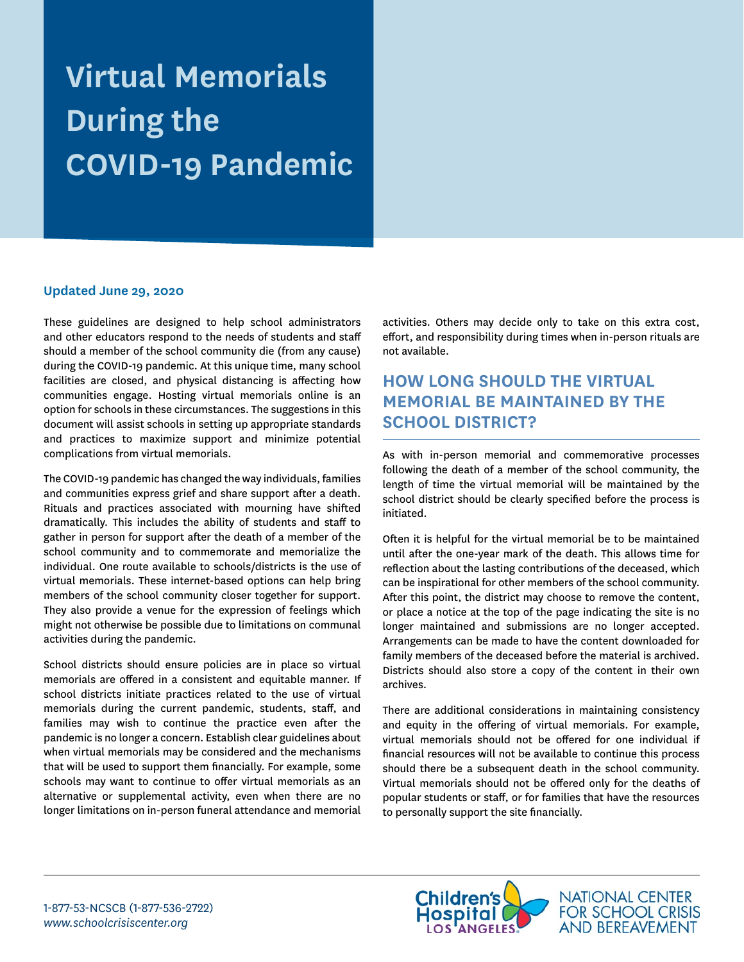# **Virtual Memorials During the COVID-19 Pandemic**

#### **Updated June 29, 2020**

These guidelines are designed to help school administrators and other educators respond to the needs of students and staff should a member of the school community die (from any cause) during the COVID-19 pandemic. At this unique time, many school facilities are closed, and physical distancing is affecting how communities engage. Hosting virtual memorials online is an option for schools in these circumstances. The suggestions in this document will assist schools in setting up appropriate standards and practices to maximize support and minimize potential complications from virtual memorials.

The COVID-19 pandemic has changed the way individuals, families and communities express grief and share support after a death. Rituals and practices associated with mourning have shifted dramatically. This includes the ability of students and staff to gather in person for support after the death of a member of the school community and to commemorate and memorialize the individual. One route available to schools/districts is the use of virtual memorials. These internet-based options can help bring members of the school community closer together for support. They also provide a venue for the expression of feelings which might not otherwise be possible due to limitations on communal activities during the pandemic.

School districts should ensure policies are in place so virtual memorials are offered in a consistent and equitable manner. If school districts initiate practices related to the use of virtual memorials during the current pandemic, students, staff, and families may wish to continue the practice even after the pandemic is no longer a concern. Establish clear guidelines about when virtual memorials may be considered and the mechanisms that will be used to support them financially. For example, some schools may want to continue to offer virtual memorials as an alternative or supplemental activity, even when there are no longer limitations on in-person funeral attendance and memorial activities. Others may decide only to take on this extra cost, effort, and responsibility during times when in-person rituals are not available.

# **HOW LONG SHOULD THE VIRTUAL MEMORIAL BE MAINTAINED BY THE SCHOOL DISTRICT?**

As with in-person memorial and commemorative processes following the death of a member of the school community, the length of time the virtual memorial will be maintained by the school district should be clearly specified before the process is initiated.

Often it is helpful for the virtual memorial be to be maintained until after the one-year mark of the death. This allows time for reflection about the lasting contributions of the deceased, which can be inspirational for other members of the school community. After this point, the district may choose to remove the content, or place a notice at the top of the page indicating the site is no longer maintained and submissions are no longer accepted. Arrangements can be made to have the content downloaded for family members of the deceased before the material is archived. Districts should also store a copy of the content in their own archives.

There are additional considerations in maintaining consistency and equity in the offering of virtual memorials. For example, virtual memorials should not be offered for one individual if financial resources will not be available to continue this process should there be a subsequent death in the school community. Virtual memorials should not be offered only for the deaths of popular students or staff, or for families that have the resources to personally support the site financially.

NATIONAL CENTER<br>FOR SCHOOL CRISIS

**AND BEREAVEMENT**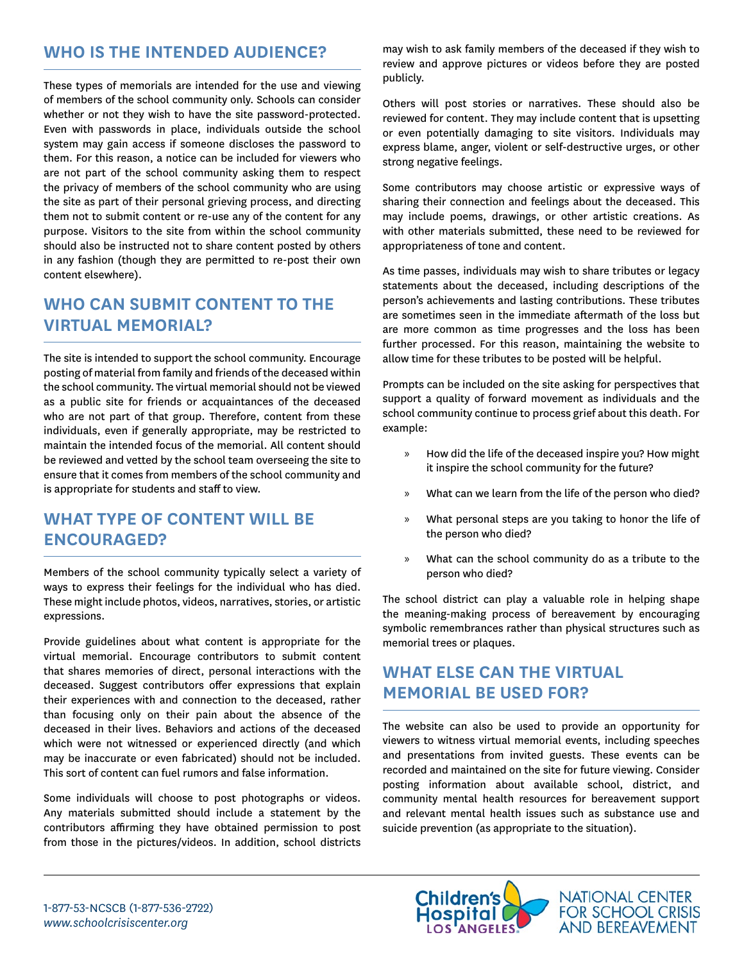### **WHO IS THE INTENDED AUDIENCE?**

These types of memorials are intended for the use and viewing of members of the school community only. Schools can consider whether or not they wish to have the site password-protected. Even with passwords in place, individuals outside the school system may gain access if someone discloses the password to them. For this reason, a notice can be included for viewers who are not part of the school community asking them to respect the privacy of members of the school community who are using the site as part of their personal grieving process, and directing them not to submit content or re-use any of the content for any purpose. Visitors to the site from within the school community should also be instructed not to share content posted by others in any fashion (though they are permitted to re-post their own content elsewhere).

# **WHO CAN SUBMIT CONTENT TO THE VIRTUAL MEMORIAL?**

The site is intended to support the school community. Encourage posting of material from family and friends of the deceased within the school community. The virtual memorial should not be viewed as a public site for friends or acquaintances of the deceased who are not part of that group. Therefore, content from these individuals, even if generally appropriate, may be restricted to maintain the intended focus of the memorial. All content should be reviewed and vetted by the school team overseeing the site to ensure that it comes from members of the school community and is appropriate for students and staff to view.

### **WHAT TYPE OF CONTENT WILL BE ENCOURAGED?**

Members of the school community typically select a variety of ways to express their feelings for the individual who has died. These might include photos, videos, narratives, stories, or artistic expressions.

Provide guidelines about what content is appropriate for the virtual memorial. Encourage contributors to submit content that shares memories of direct, personal interactions with the deceased. Suggest contributors offer expressions that explain their experiences with and connection to the deceased, rather than focusing only on their pain about the absence of the deceased in their lives. Behaviors and actions of the deceased which were not witnessed or experienced directly (and which may be inaccurate or even fabricated) should not be included. This sort of content can fuel rumors and false information.

Some individuals will choose to post photographs or videos. Any materials submitted should include a statement by the contributors affirming they have obtained permission to post from those in the pictures/videos. In addition, school districts

may wish to ask family members of the deceased if they wish to review and approve pictures or videos before they are posted publicly.

Others will post stories or narratives. These should also be reviewed for content. They may include content that is upsetting or even potentially damaging to site visitors. Individuals may express blame, anger, violent or self-destructive urges, or other strong negative feelings.

Some contributors may choose artistic or expressive ways of sharing their connection and feelings about the deceased. This may include poems, drawings, or other artistic creations. As with other materials submitted, these need to be reviewed for appropriateness of tone and content.

As time passes, individuals may wish to share tributes or legacy statements about the deceased, including descriptions of the person's achievements and lasting contributions. These tributes are sometimes seen in the immediate aftermath of the loss but are more common as time progresses and the loss has been further processed. For this reason, maintaining the website to allow time for these tributes to be posted will be helpful.

Prompts can be included on the site asking for perspectives that support a quality of forward movement as individuals and the school community continue to process grief about this death. For example:

- » How did the life of the deceased inspire you? How might it inspire the school community for the future?
- » What can we learn from the life of the person who died?
- » What personal steps are you taking to honor the life of the person who died?
- » What can the school community do as a tribute to the person who died?

The school district can play a valuable role in helping shape the meaning-making process of bereavement by encouraging symbolic remembrances rather than physical structures such as memorial trees or plaques.

### **WHAT ELSE CAN THE VIRTUAL MEMORIAL BE USED FOR?**

The website can also be used to provide an opportunity for viewers to witness virtual memorial events, including speeches and presentations from invited guests. These events can be recorded and maintained on the site for future viewing. Consider posting information about available school, district, and community mental health resources for bereavement support and relevant mental health issues such as substance use and suicide prevention (as appropriate to the situation).

**AND BEREAVEMENT**